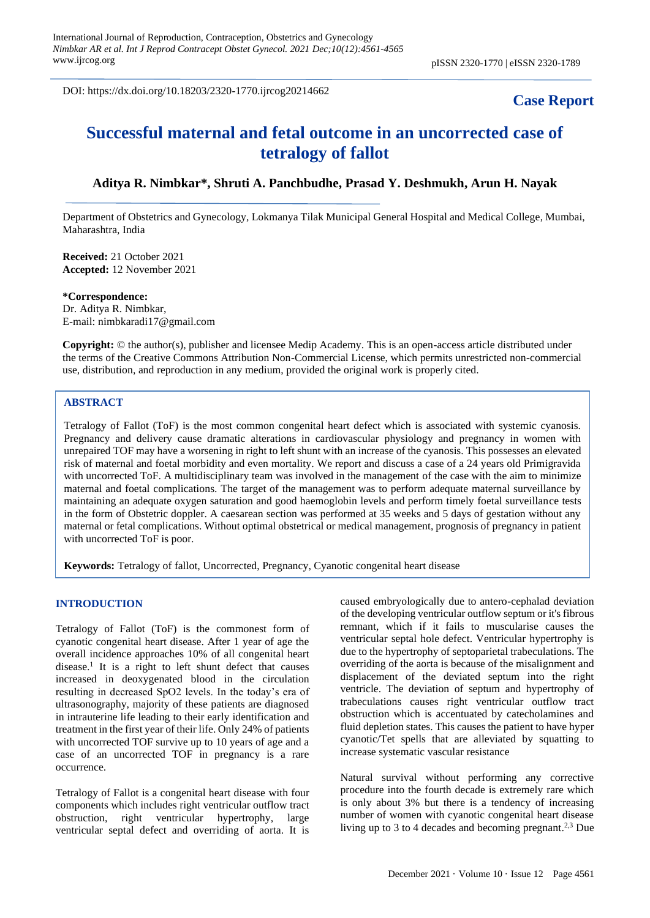DOI: https://dx.doi.org/10.18203/2320-1770.ijrcog20214662

## **Case Report**

# **Successful maternal and fetal outcome in an uncorrected case of tetralogy of fallot**

## **Aditya R. Nimbkar\*, Shruti A. Panchbudhe, Prasad Y. Deshmukh, Arun H. Nayak**

Department of Obstetrics and Gynecology, Lokmanya Tilak Municipal General Hospital and Medical College, Mumbai, Maharashtra, India

**Received:** 21 October 2021 **Accepted:** 12 November 2021

**\*Correspondence:** Dr. Aditya R. Nimbkar, E-mail: nimbkaradi17@gmail.com

**Copyright:** © the author(s), publisher and licensee Medip Academy. This is an open-access article distributed under the terms of the Creative Commons Attribution Non-Commercial License, which permits unrestricted non-commercial use, distribution, and reproduction in any medium, provided the original work is properly cited.

## **ABSTRACT**

Tetralogy of Fallot (ToF) is the most common congenital heart defect which is associated with systemic cyanosis. Pregnancy and delivery cause dramatic alterations in cardiovascular physiology and pregnancy in women with unrepaired TOF may have a worsening in right to left shunt with an increase of the cyanosis. This possesses an elevated risk of maternal and foetal morbidity and even mortality. We report and discuss a case of a 24 years old Primigravida with uncorrected ToF. A multidisciplinary team was involved in the management of the case with the aim to minimize maternal and foetal complications. The target of the management was to perform adequate maternal surveillance by maintaining an adequate oxygen saturation and good haemoglobin levels and perform timely foetal surveillance tests in the form of Obstetric doppler. A caesarean section was performed at 35 weeks and 5 days of gestation without any maternal or fetal complications. Without optimal obstetrical or medical management, prognosis of pregnancy in patient with uncorrected ToF is poor.

**Keywords:** Tetralogy of fallot, Uncorrected, Pregnancy, Cyanotic congenital heart disease

#### **INTRODUCTION**

Tetralogy of Fallot (ToF) is the commonest form of cyanotic congenital heart disease. After 1 year of age the overall incidence approaches 10% of all congenital heart disease. 1 It is a right to left shunt defect that causes increased in deoxygenated blood in the circulation resulting in decreased SpO2 levels. In the today's era of ultrasonography, majority of these patients are diagnosed in intrauterine life leading to their early identification and treatment in the first year of their life. Only 24% of patients with uncorrected TOF survive up to 10 years of age and a case of an uncorrected TOF in pregnancy is a rare occurrence.

Tetralogy of Fallot is a congenital heart disease with four components which includes right ventricular outflow tract obstruction, right ventricular hypertrophy, large ventricular septal defect and overriding of aorta. It is caused embryologically due to antero-cephalad deviation of the developing ventricular outflow septum or it's fibrous remnant, which if it fails to muscularise causes the ventricular septal hole defect. Ventricular hypertrophy is due to the hypertrophy of septoparietal trabeculations. The overriding of the aorta is because of the misalignment and displacement of the deviated septum into the right ventricle. The deviation of septum and hypertrophy of trabeculations causes right ventricular outflow tract obstruction which is accentuated by catecholamines and fluid depletion states. This causes the patient to have hyper cyanotic/Tet spells that are alleviated by squatting to increase systematic vascular resistance

Natural survival without performing any corrective procedure into the fourth decade is extremely rare which is only about 3% but there is a tendency of increasing number of women with cyanotic congenital heart disease living up to 3 to 4 decades and becoming pregnant.<sup>2,3</sup> Due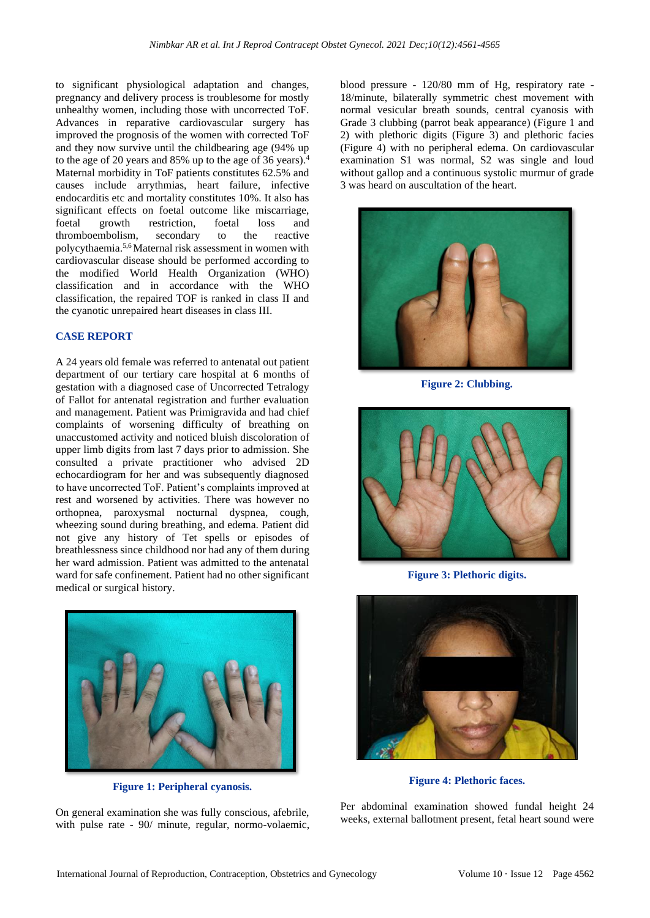to significant physiological adaptation and changes, pregnancy and delivery process is troublesome for mostly unhealthy women, including those with uncorrected ToF. Advances in reparative cardiovascular surgery has improved the prognosis of the women with corrected ToF and they now survive until the childbearing age (94% up to the age of 20 years and 85% up to the age of 36 years). 4 Maternal morbidity in ToF patients constitutes 62.5% and causes include arrythmias, heart failure, infective endocarditis etc and mortality constitutes 10%. It also has significant effects on foetal outcome like miscarriage, foetal growth restriction, foetal loss and thromboembolism, secondary to the reactive polycythaemia. 5,6 Maternal risk assessment in women with cardiovascular disease should be performed according to the modified World Health Organization (WHO) classification and in accordance with the WHO classification, the repaired TOF is ranked in class II and the cyanotic unrepaired heart diseases in class III.

### **CASE REPORT**

A 24 years old female was referred to antenatal out patient department of our tertiary care hospital at 6 months of gestation with a diagnosed case of Uncorrected Tetralogy of Fallot for antenatal registration and further evaluation and management. Patient was Primigravida and had chief complaints of worsening difficulty of breathing on unaccustomed activity and noticed bluish discoloration of upper limb digits from last 7 days prior to admission. She consulted a private practitioner who advised 2D echocardiogram for her and was subsequently diagnosed to have uncorrected ToF. Patient's complaints improved at rest and worsened by activities. There was however no orthopnea, paroxysmal nocturnal dyspnea, cough, wheezing sound during breathing, and edema. Patient did not give any history of Tet spells or episodes of breathlessness since childhood nor had any of them during her ward admission. Patient was admitted to the antenatal ward for safe confinement. Patient had no other significant medical or surgical history.



**Figure 1: Peripheral cyanosis.**

On general examination she was fully conscious, afebrile, with pulse rate - 90/ minute, regular, normo-volaemic, blood pressure - 120/80 mm of Hg, respiratory rate - 18/minute, bilaterally symmetric chest movement with normal vesicular breath sounds, central cyanosis with Grade 3 clubbing (parrot beak appearance) (Figure 1 and 2) with plethoric digits (Figure 3) and plethoric facies (Figure 4) with no peripheral edema. On cardiovascular examination S1 was normal, S2 was single and loud without gallop and a continuous systolic murmur of grade 3 was heard on auscultation of the heart.



**Figure 2: Clubbing.**



**Figure 3: Plethoric digits.**



**Figure 4: Plethoric faces.**

Per abdominal examination showed fundal height 24 weeks, external ballotment present, fetal heart sound were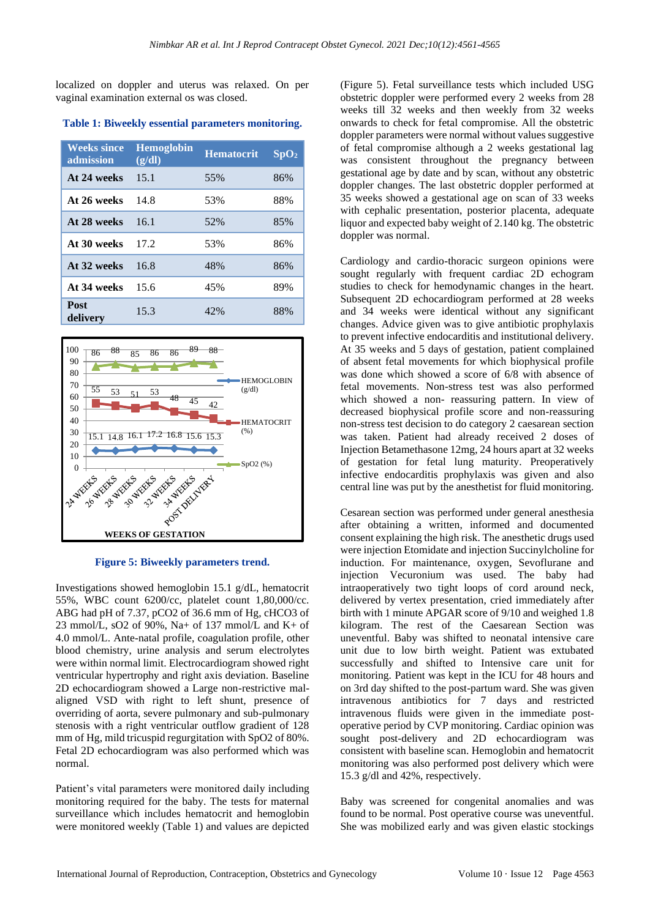localized on doppler and uterus was relaxed. On per vaginal examination external os was closed.

**Table 1: Biweekly essential parameters monitoring.**

| <b>Weeks since</b><br>admission | <b>Hemoglobin</b><br>(g/dl) | <b>Hematocrit</b> | SpO <sub>2</sub> |
|---------------------------------|-----------------------------|-------------------|------------------|
| At 24 weeks                     | 15.1                        | 55%               | 86%              |
| At 26 weeks                     | 14.8                        | 53%               | 88%              |
| At 28 weeks                     | 16.1                        | 52%               | 85%              |
| At 30 weeks                     | 17.2                        | 53%               | 86%              |
| At 32 weeks                     | 16.8                        | 48%               | 86%              |
| At 34 weeks                     | 15.6                        | 45%               | 89%              |
| Post<br>delivery                | 15.3                        | 42%               | 88%              |



**Figure 5: Biweekly parameters trend.**

Investigations showed hemoglobin 15.1 g/dL, hematocrit 55%, WBC count 6200/cc, platelet count 1,80,000/cc. ABG had pH of 7.37, pCO2 of 36.6 mm of Hg, cHCO3 of 23 mmol/L, sO2 of 90%, Na+ of 137 mmol/L and K+ of 4.0 mmol/L. Ante-natal profile, coagulation profile, other blood chemistry, urine analysis and serum electrolytes were within normal limit. Electrocardiogram showed right ventricular hypertrophy and right axis deviation. Baseline 2D echocardiogram showed a Large non-restrictive malaligned VSD with right to left shunt, presence of overriding of aorta, severe pulmonary and sub-pulmonary stenosis with a right ventricular outflow gradient of 128 mm of Hg, mild tricuspid regurgitation with SpO2 of 80%. Fetal 2D echocardiogram was also performed which was normal.

Patient's vital parameters were monitored daily including monitoring required for the baby. The tests for maternal surveillance which includes hematocrit and hemoglobin were monitored weekly (Table 1) and values are depicted (Figure 5). Fetal surveillance tests which included USG obstetric doppler were performed every 2 weeks from 28 weeks till 32 weeks and then weekly from 32 weeks onwards to check for fetal compromise. All the obstetric doppler parameters were normal without values suggestive of fetal compromise although a 2 weeks gestational lag was consistent throughout the pregnancy between gestational age by date and by scan, without any obstetric doppler changes. The last obstetric doppler performed at 35 weeks showed a gestational age on scan of 33 weeks with cephalic presentation, posterior placenta, adequate liquor and expected baby weight of 2.140 kg. The obstetric doppler was normal.

Cardiology and cardio-thoracic surgeon opinions were sought regularly with frequent cardiac 2D echogram studies to check for hemodynamic changes in the heart. Subsequent 2D echocardiogram performed at 28 weeks and 34 weeks were identical without any significant changes. Advice given was to give antibiotic prophylaxis to prevent infective endocarditis and institutional delivery. At 35 weeks and 5 days of gestation, patient complained of absent fetal movements for which biophysical profile was done which showed a score of 6/8 with absence of fetal movements. Non-stress test was also performed which showed a non- reassuring pattern. In view of decreased biophysical profile score and non-reassuring non-stress test decision to do category 2 caesarean section was taken. Patient had already received 2 doses of Injection Betamethasone 12mg, 24 hours apart at 32 weeks of gestation for fetal lung maturity. Preoperatively infective endocarditis prophylaxis was given and also central line was put by the anesthetist for fluid monitoring.

Cesarean section was performed under general anesthesia after obtaining a written, informed and documented consent explaining the high risk. The anesthetic drugs used were injection Etomidate and injection Succinylcholine for induction. For maintenance, oxygen, Sevoflurane and injection Vecuronium was used. The baby had intraoperatively two tight loops of cord around neck, delivered by vertex presentation, cried immediately after birth with 1 minute APGAR score of 9/10 and weighed 1.8 kilogram. The rest of the Caesarean Section was uneventful. Baby was shifted to neonatal intensive care unit due to low birth weight. Patient was extubated successfully and shifted to Intensive care unit for monitoring. Patient was kept in the ICU for 48 hours and on 3rd day shifted to the post-partum ward. She was given intravenous antibiotics for 7 days and restricted intravenous fluids were given in the immediate postoperative period by CVP monitoring. Cardiac opinion was sought post-delivery and 2D echocardiogram was consistent with baseline scan. Hemoglobin and hematocrit monitoring was also performed post delivery which were 15.3 g/dl and 42%, respectively.

Baby was screened for congenital anomalies and was found to be normal. Post operative course was uneventful. She was mobilized early and was given elastic stockings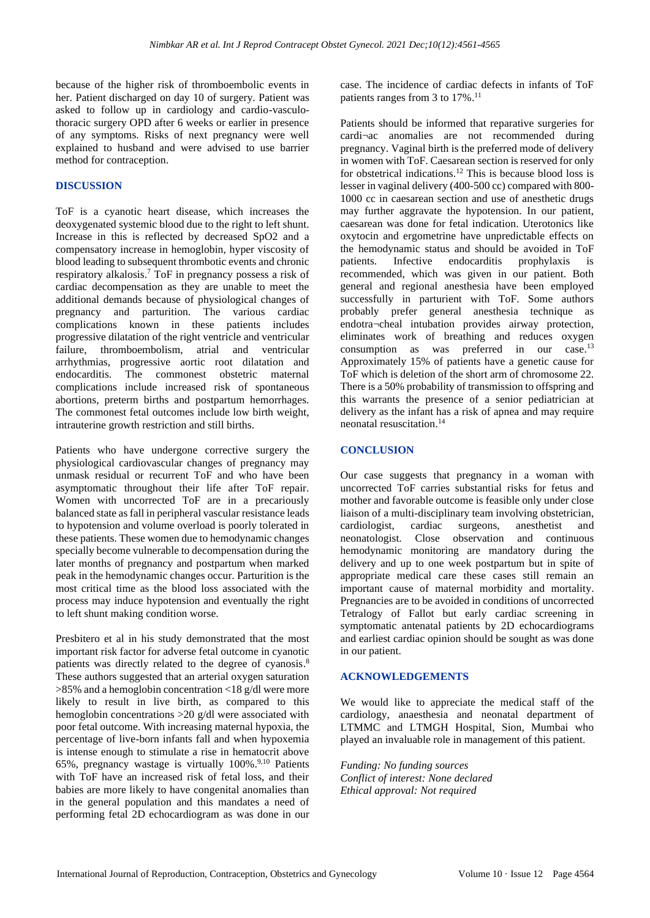because of the higher risk of thromboembolic events in her. Patient discharged on day 10 of surgery. Patient was asked to follow up in cardiology and cardio-vasculothoracic surgery OPD after 6 weeks or earlier in presence of any symptoms. Risks of next pregnancy were well explained to husband and were advised to use barrier method for contraception.

### **DISCUSSION**

ToF is a cyanotic heart disease, which increases the deoxygenated systemic blood due to the right to left shunt. Increase in this is reflected by decreased SpO2 and a compensatory increase in hemoglobin, hyper viscosity of blood leading to subsequent thrombotic events and chronic respiratory alkalosis. <sup>7</sup> ToF in pregnancy possess a risk of cardiac decompensation as they are unable to meet the additional demands because of physiological changes of pregnancy and parturition. The various cardiac complications known in these patients includes progressive dilatation of the right ventricle and ventricular failure, thromboembolism, atrial and ventricular arrhythmias, progressive aortic root dilatation and endocarditis. The commonest obstetric maternal complications include increased risk of spontaneous abortions, preterm births and postpartum hemorrhages. The commonest fetal outcomes include low birth weight, intrauterine growth restriction and still births.

Patients who have undergone corrective surgery the physiological cardiovascular changes of pregnancy may unmask residual or recurrent ToF and who have been asymptomatic throughout their life after ToF repair. Women with uncorrected ToF are in a precariously balanced state as fall in peripheral vascular resistance leads to hypotension and volume overload is poorly tolerated in these patients. These women due to hemodynamic changes specially become vulnerable to decompensation during the later months of pregnancy and postpartum when marked peak in the hemodynamic changes occur. Parturition is the most critical time as the blood loss associated with the process may induce hypotension and eventually the right to left shunt making condition worse.

Presbitero et al in his study demonstrated that the most important risk factor for adverse fetal outcome in cyanotic patients was directly related to the degree of cyanosis.<sup>8</sup> These authors suggested that an arterial oxygen saturation >85% and a hemoglobin concentration <18 g/dl were more likely to result in live birth, as compared to this hemoglobin concentrations >20 g/dl were associated with poor fetal outcome. With increasing maternal hypoxia, the percentage of live-born infants fall and when hypoxemia is intense enough to stimulate a rise in hematocrit above 65%, pregnancy wastage is virtually 100%. 9,10 Patients with ToF have an increased risk of fetal loss, and their babies are more likely to have congenital anomalies than in the general population and this mandates a need of performing fetal 2D echocardiogram as was done in our case. The incidence of cardiac defects in infants of ToF patients ranges from 3 to 17%. 11

Patients should be informed that reparative surgeries for cardi¬ac anomalies are not recommended during pregnancy. Vaginal birth is the preferred mode of delivery in women with ToF. Caesarean section is reserved for only for obstetrical indications.<sup>12</sup> This is because blood loss is lesser in vaginal delivery (400-500 cc) compared with 800- 1000 cc in caesarean section and use of anesthetic drugs may further aggravate the hypotension. In our patient, caesarean was done for fetal indication. Uterotonics like oxytocin and ergometrine have unpredictable effects on the hemodynamic status and should be avoided in ToF patients. Infective endocarditis prophylaxis is recommended, which was given in our patient. Both general and regional anesthesia have been employed successfully in parturient with ToF. Some authors probably prefer general anesthesia technique as endotra¬cheal intubation provides airway protection, eliminates work of breathing and reduces oxygen consumption as was preferred in our case.<sup>13</sup> Approximately 15% of patients have a genetic cause for ToF which is deletion of the short arm of chromosome 22. There is a 50% probability of transmission to offspring and this warrants the presence of a senior pediatrician at delivery as the infant has a risk of apnea and may require neonatal resuscitation. 14

### **CONCLUSION**

Our case suggests that pregnancy in a woman with uncorrected ToF carries substantial risks for fetus and mother and favorable outcome is feasible only under close liaison of a multi-disciplinary team involving obstetrician, cardiologist, cardiac surgeons, anesthetist and neonatologist. Close observation and continuous hemodynamic monitoring are mandatory during the delivery and up to one week postpartum but in spite of appropriate medical care these cases still remain an important cause of maternal morbidity and mortality. Pregnancies are to be avoided in conditions of uncorrected Tetralogy of Fallot but early cardiac screening in symptomatic antenatal patients by 2D echocardiograms and earliest cardiac opinion should be sought as was done in our patient.

#### **ACKNOWLEDGEMENTS**

We would like to appreciate the medical staff of the cardiology, anaesthesia and neonatal department of LTMMC and LTMGH Hospital, Sion, Mumbai who played an invaluable role in management of this patient.

*Funding: No funding sources Conflict of interest: None declared Ethical approval: Not required*